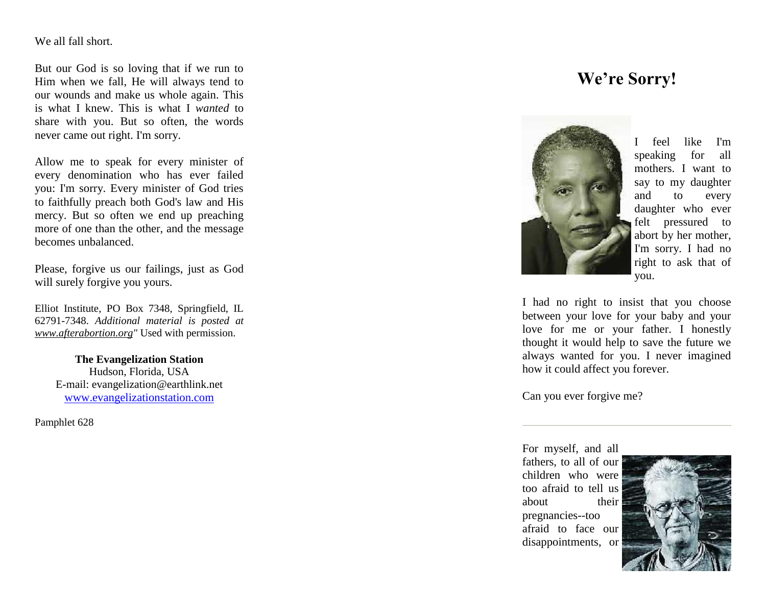## We all fall short.

But our God is so loving that if we run to Him when we fall, He will always tend to our wounds and make us whole again. This is what I knew. This is what I *wanted* to share with you. But so often, the words never came out right. I'm sorry.

Allow me to speak for every minister of every denomination who has ever failed you: I'm sorry. Every minister of God tries to faithfully preach both God's law and His mercy. But so often we end up preaching more of one than the other, and the message becomes unbalanced.

Please, forgive us our failings, just as God will surely forgive you yours.

Elliot Institute, PO Box 7348, Springfield, IL 62791 -7348. *Additional material is posted at [www.afterabortion.org"](http://www.afterabortion.org/)* Used with permission.

> **The Evangelization Station** Hudson, Florida, USA E -mail: evangelization@earthlink.net [www.evangelizationstation.com](http://www.pjpiisoe.org/)

Pamphlet 62 8

## **We're Sorry!**



I feel like I'm speaking for all mothers. I want to say to my daughter and to every daughter who ever felt pressured to abort by her mother, I'm sorry. I had no right to ask that of you.

I had no right to insist that you choose between your love for your baby and your love for me or your father. I honestly thought it would help to save the future we always wanted for you. I never imagined how it could affect you forever.

Can you ever forgive me?

For myself, and all fathers, to all of our children who were too afraid to tell us about their pregnancies--too afraid to face our disappointments, or